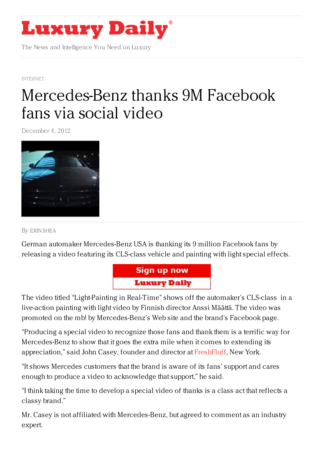

The News and Intelligence You Need on Luxury

[INTERNET](https://www.luxurydaily.com/category/news/internet-news/)

## [Mercedes-Benz](https://www.luxurydaily.com/mercedes-benz-thanks-facebook-fans-via-social-video/) thanks 9M Facebook fans via social video

December 4, 2012



By ERIN [SHEA](/author/erin-shea)

German automaker Mercedes-Benz USA is thanking its 9 million Facebook fans by releasing a video featuring its CLS-class vehicle and painting with light special effects.



The video titled "Light-Painting in Real-Time" shows off the automaker's CLS-class in a live-action painting with light video by Finnish director Anssi Määttä. The video was promoted on the mb! by Mercedes-Benz's Web site and the brand's Facebook page.

"Producing a special video to recognize those fans and thank them is a terrific way for Mercedes-Benz to show that it goes the extra mile when it comes to extending its appreciation," said John Casey, founder and director at [FreshFluff](http://www.freshfluff.com/), New York.

"It shows Mercedes customers that the brand is aware of its fans' support and cares enough to produce a video to acknowledge that support," he said.

"I think taking the time to develop a special video of thanks is a class act that reflects a classy brand."

Mr. Casey is not affiliated with Mercedes-Benz, but agreed to comment as an industry expert.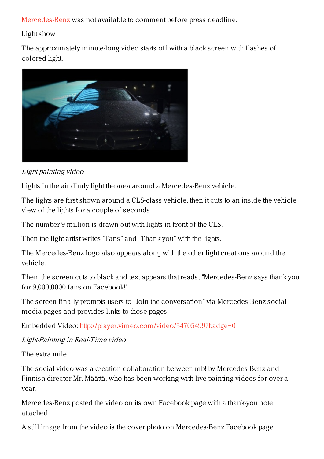[Mercedes-Benz](http://www.mercedes-benz.com) was not available to comment before press deadline.

## Light show

The approximately minute-long video starts off with a black screen with flashes of colored light.



## Light painting video

Lights in the air dimly light the area around a Mercedes-Benz vehicle.

The lights are first shown around a CLS-class vehicle, then it cuts to an inside the vehicle view of the lights for a couple of seconds.

The number 9 million is drawn out with lights in front of the CLS.

Then the light artist writes "Fans" and "Thank you" with the lights.

The Mercedes-Benz logo also appears along with the other light creations around the vehicle.

Then, the screen cuts to black and text appears that reads, "Mercedes-Benz says thank you for 9,000,0000 fans on Facebook!"

The screen finally prompts users to "Join the conversation" via Mercedes-Benz social media pages and provides links to those pages.

Embedded Video: <http://player.vimeo.com/video/54705499?badge=0>

## Light-Painting in Real-Time video

The extra mile

The social video was a creation collaboration between mb! by Mercedes-Benz and Finnish director Mr. Määttä, who has been working with live-painting videos for over a year.

Mercedes-Benz posted the video on its own Facebook page with a thank-you note attached.

A still image from the video is the cover photo on Mercedes-Benz Facebook page.